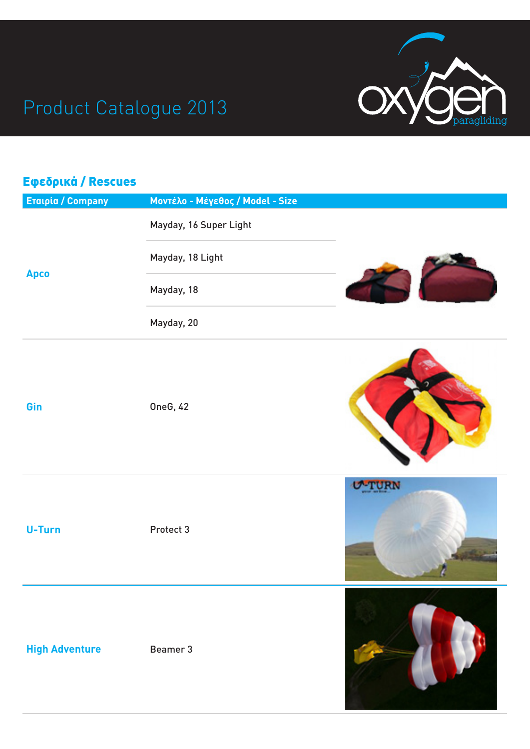

## Product Catalogue 2013

| Εφεδρικά / Rescues       |                                  |  |
|--------------------------|----------------------------------|--|
| <b>Eralpia / Company</b> | Μοντέλο - Μέγεθος / Model - Size |  |
|                          | Mayday, 16 Super Light           |  |
|                          | Mayday, 18 Light                 |  |
| Apco                     | Mayday, 18                       |  |
|                          | Mayday, 20                       |  |
| Gin                      | <b>OneG, 42</b>                  |  |
| <b>U-Turn</b>            | Protect 3                        |  |
| <b>High Adventure</b>    | Beamer 3                         |  |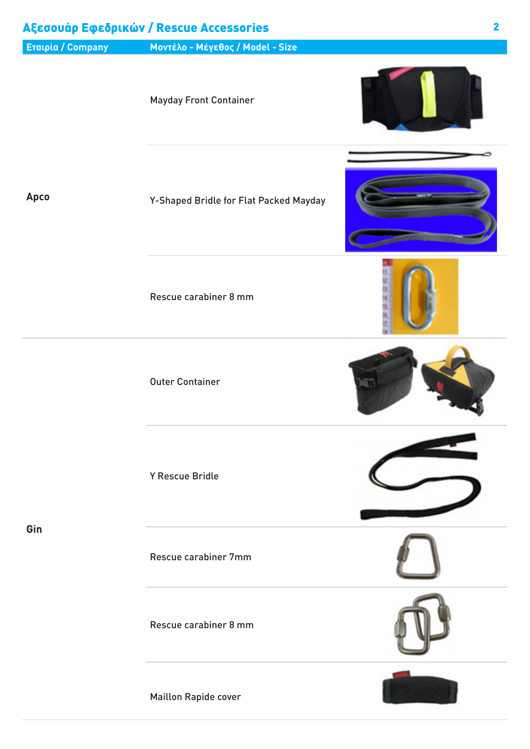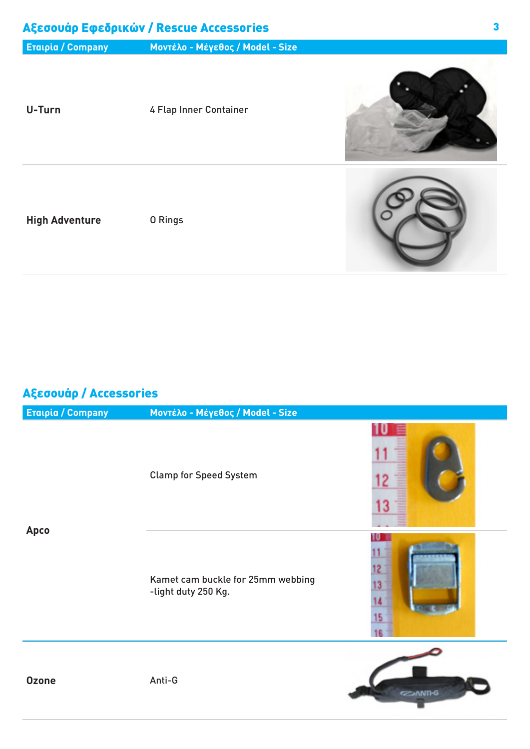| Αξεσουάρ Εφεδρικών / Rescue Accessories |                                  |  |
|-----------------------------------------|----------------------------------|--|
| <b>ETalpia / Company</b>                | Μοντέλο - Μέγεθος / Model - Size |  |
| U-Turn                                  | 4 Flap Inner Container           |  |
| <b>High Adventure</b>                   | 0 Rings                          |  |

### Αξεσουάρ / Accessories

| <b>ETalpia / Company</b> | Μοντέλο - Μέγεθος / Model - Size                         |                      |
|--------------------------|----------------------------------------------------------|----------------------|
| <b>Apco</b>              | <b>Clamp for Speed System</b>                            | 12<br>13             |
|                          | Kamet cam buckle for 25mm webbing<br>-light duty 250 Kg. | 12<br>13<br>14<br>15 |
| <b>Ozone</b>             | Anti-G                                                   | <b>EZIANTI-G</b>     |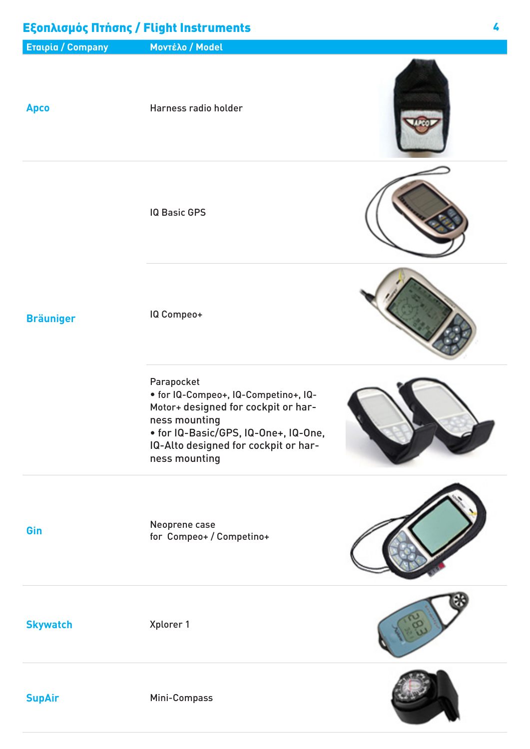### Εξοπλισμός Πτήσης / Flight Instruments

![](_page_3_Figure_1.jpeg)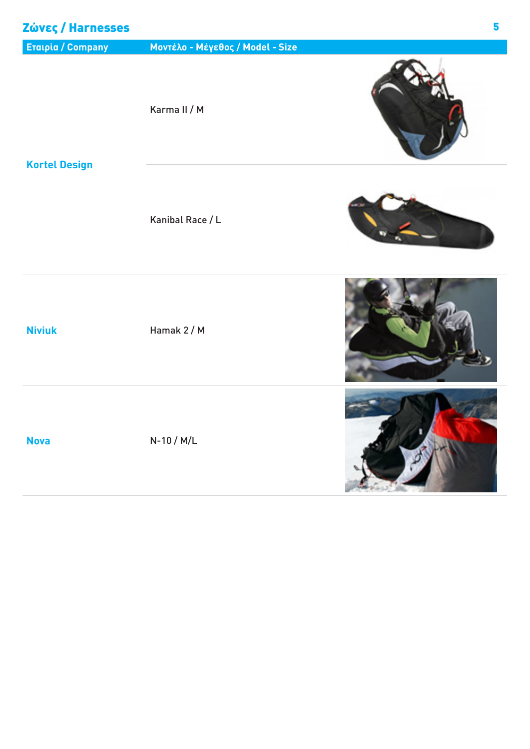| Zώνες / Harnesses        |                                  | 5 |
|--------------------------|----------------------------------|---|
| <b>Eraipia / Company</b> | Μοντέλο - Μέγεθος / Model - Size |   |
| <b>Kortel Design</b>     | Karma II / M                     |   |
|                          | Kanibal Race / L                 |   |
| <b>Niviuk</b>            | Hamak 2 / M                      |   |
| <b>Nova</b>              | $N-10/M/L$                       |   |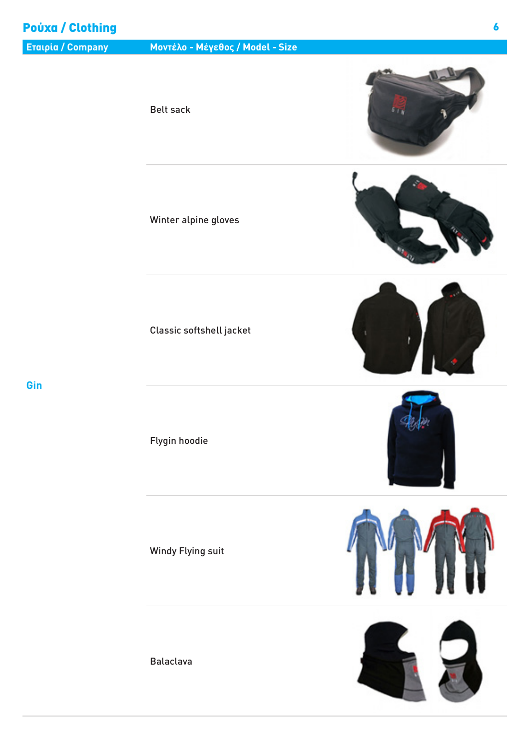### Ρούχα / Clothing

### Belt sack

Winter alpine gloves

Classic softshell jacket

**Gin**

Windy Flying suit

Flygin hoodie

Balaclava

![](_page_5_Picture_9.jpeg)

![](_page_5_Picture_10.jpeg)

![](_page_5_Picture_11.jpeg)

![](_page_5_Picture_12.jpeg)

![](_page_5_Picture_13.jpeg)

![](_page_5_Picture_14.jpeg)

![](_page_5_Picture_15.jpeg)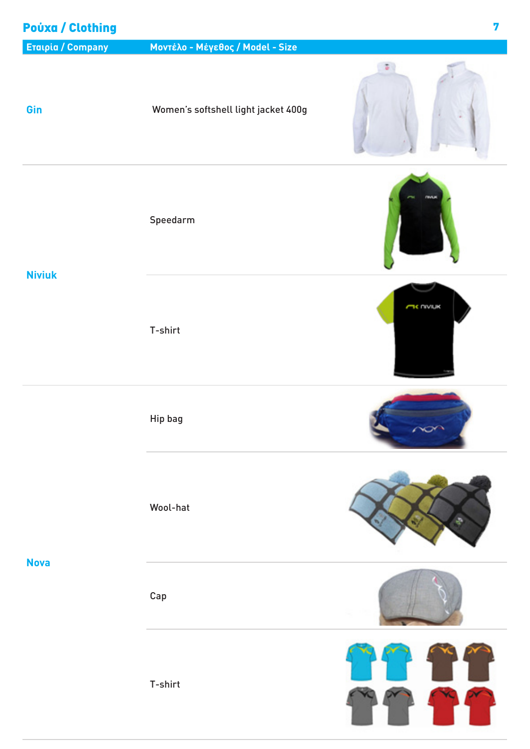# Ρούχα / Clothing7 **Εταιρία / Company Μοντέλο - Μέγεθος / Model - Size**  $\mathcal{L}$ **Gin** Women's softshell light jacket 400g Speedarm **Niviuk TK UMITK** T-shirt Hip bag Wool-hat **Nova** Cap T-shirt

Y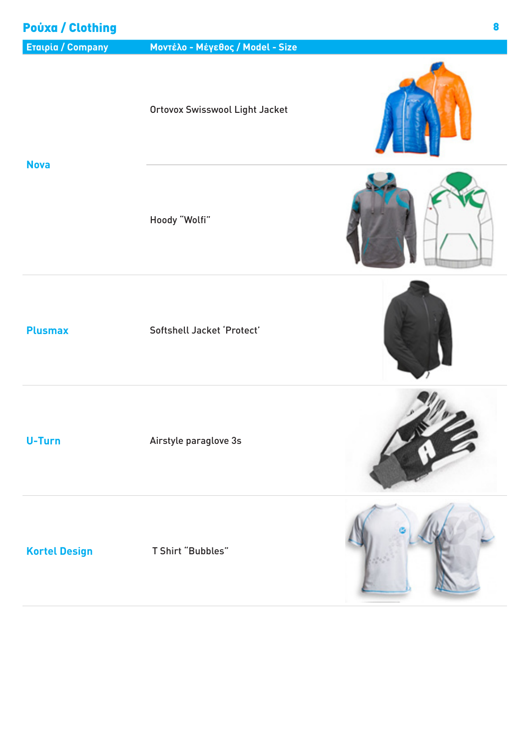### Ρούχα / Clothing

### Ortovox Swisswool Light Jacket

**Nova**

Hoody "Wolfi"

Plusmax Softshell Jacket 'Protect'

**U-Turn** Airstyle paraglove 3s

**Kortel Design** T Shirt "Bubbles"

![](_page_7_Picture_12.jpeg)

![](_page_7_Picture_13.jpeg)

![](_page_7_Picture_14.jpeg)

![](_page_7_Picture_15.jpeg)

![](_page_7_Picture_16.jpeg)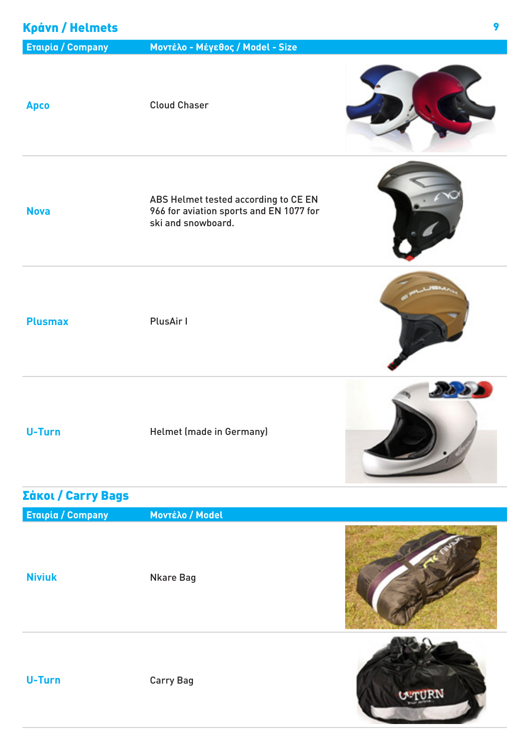### Κράνη / Helmets

| <b>Apco</b>              | <b>Cloud Chaser</b>                                                                                   |               |
|--------------------------|-------------------------------------------------------------------------------------------------------|---------------|
| <b>Nova</b>              | ABS Helmet tested according to CE EN<br>966 for aviation sports and EN 1077 for<br>ski and snowboard. |               |
| <b>Plusmax</b>           | PlusAir I                                                                                             |               |
| <b>U-Turn</b>            | Helmet (made in Germany)                                                                              |               |
| Σάκοι / Carry Bags       |                                                                                                       |               |
| <b>Eralpia / Company</b> | Μοντέλο / Model                                                                                       |               |
| <b>Niviuk</b>            | <b>Nkare Bag</b>                                                                                      |               |
| U-Turn                   | <b>Carry Bag</b>                                                                                      | <b>U-TURN</b> |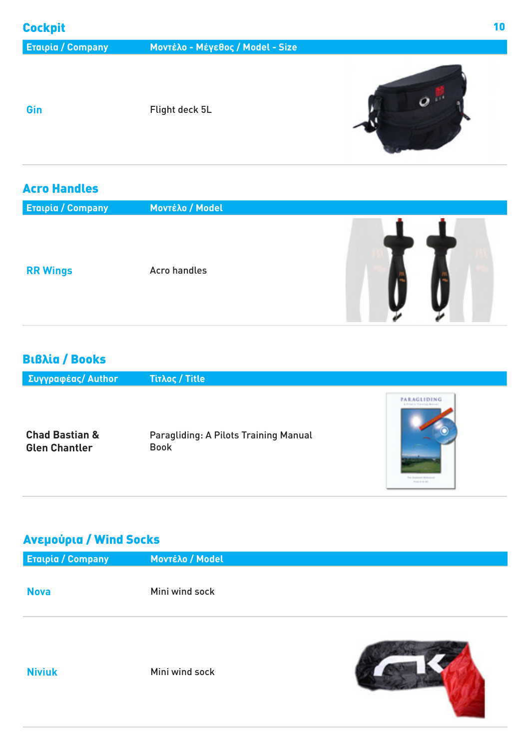**Gin** Flight deck 5L

![](_page_9_Picture_6.jpeg)

### Acro Handles

| <b>Eralpia / Company</b> | Μοντέλο / Model     |
|--------------------------|---------------------|
| <b>RR Wings</b>          | <b>Acro handles</b> |

### Βιβλία / Books

 **Συγγραφέας/ Author Τίτλος / Title** PARAGLIDING **Chad Bastian &** Paragliding: A Pilots Training Manual Book **Glen Chantler**

### Ανεμούρια / Wind Socks

| <b>ETalpia / Company</b> | <b>Movτέλο / Model</b> |
|--------------------------|------------------------|
|                          |                        |
| <b>Nova</b>              | Mini wind sock         |
|                          |                        |
|                          |                        |
|                          |                        |

**Niviuk** Mini wind sock

![](_page_9_Picture_15.jpeg)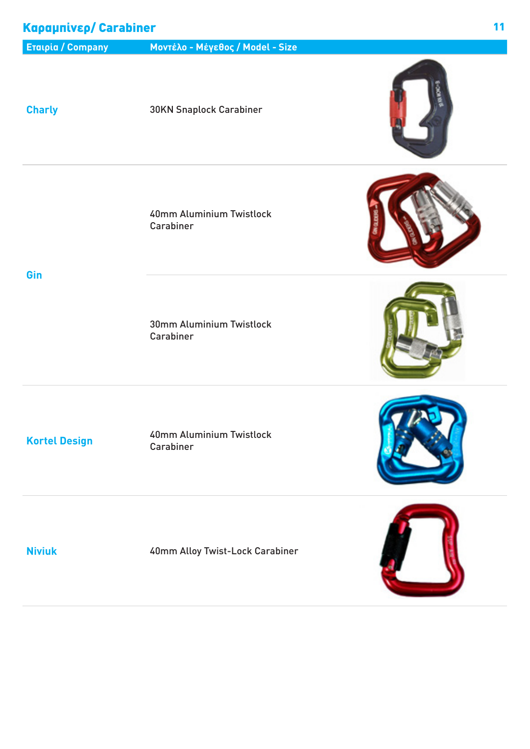### Καραμπίνερ/ Carabiner

### **Εταιρία / Company Μοντέλο - Μέγεθος / Model - Size**

**Charly** 30KN Snaplock Carabiner

40mm Aluminium Twistlock Carabiner

**Gin**

![](_page_10_Picture_7.jpeg)

30mm Aluminium Twistlock Carabiner

![](_page_10_Picture_10.jpeg)

**Kortel Design** 40mm Aluminium Twistlock Carabiner

**Niviuk** 40mm Alloy Twist-Lock Carabiner

![](_page_10_Picture_15.jpeg)

![](_page_10_Picture_16.jpeg)